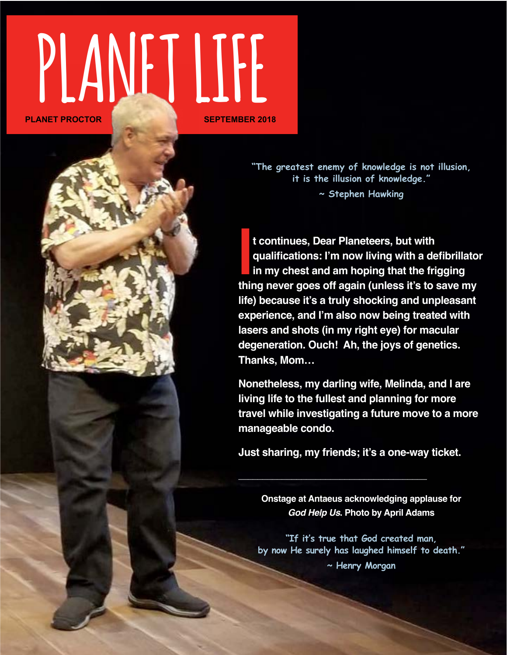# **PLANET LIFE PLANET PROCTOR**

**"The greatest enemy of knowledge is not illusion, it is the illusion of knowledge." ~ Stephen Hawking**

**I** t continues, Dear Planeteers, but with<br>qualifications: I'm now living with a defibrillator<br>in my chest and am hoping that the frigging<br>thing never goes off again (unless it's to save my **t continues, Dear Planeteers, but with qualifications: I'm now living with a defibrillator in my chest and am hoping that the frigging life) because it's a truly shocking and unpleasant experience, and I'm also now being treated with lasers and shots (in my right eye) for macular degeneration. Ouch! Ah, the joys of genetics. Thanks, Mom…**

**Nonetheless, my darling wife, Melinda, and I are living life to the fullest and planning for more travel while investigating a future move to a more manageable condo.** 

**Just sharing, my friends; it's a one-way ticket.**

**\_\_\_\_\_\_\_\_\_\_\_\_\_\_\_\_\_\_\_\_\_\_\_\_\_\_\_\_\_\_\_\_\_\_\_\_\_\_\_**

**Onstage at Antaeus acknowledging applause for**  *God Help Us***. Photo by April Adams**

**"If it's true that God created man, by now He surely has laughed himself to death." ~ Henry Morgan**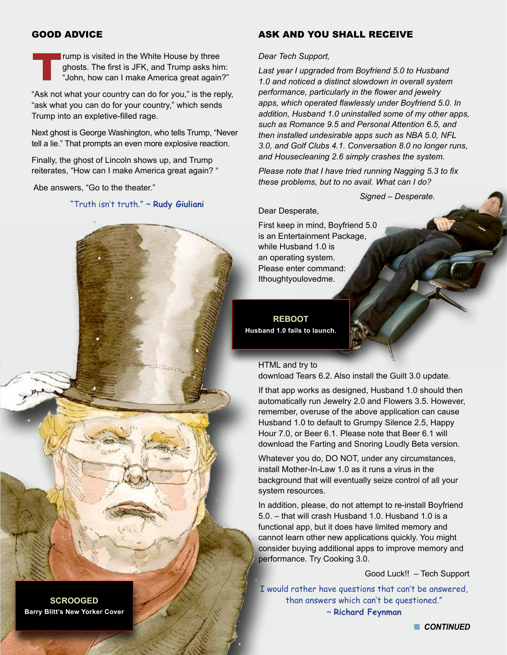#### GOOD ADVICE

**Trump is visited in the White House by three**<br>ghosts. The first is JFK, and Trump asks hin<br>"John, how can I make America great again ghosts. The first is JFK, and Trump asks him: "John, how can I make America great again?"

"Ask not what your country can do for you," is the reply, "ask what you can do for your country," which sends Trump into an expletive-filled rage.

Next ghost is George Washington, who tells Trump, "Never tell a lie." That prompts an even more explosive reaction.

Finally, the ghost of Lincoln shows up, and Trump reiterates, "How can I make America great again? "

Abe answers, "Go to the theater."

"Truth isn't truth." ~ **Rudy Giuliani**

#### ASK AND YOU SHALL RECEIVE

#### *Dear Tech Support,*

*Last year I upgraded from Boyfriend 5.0 to Husband 1.0 and noticed a distinct slowdown in overall system performance, particularly in the flower and jewelry apps, which operated flawlessly under Boyfriend 5.0. In addition, Husband 1.0 uninstalled some of my other apps, such as Romance 9.5 and Personal Attention 6.5, and then installed undesirable apps such as NBA 5.0, NFL 3.0, and Golf Clubs 4.1. Conversation 8.0 no longer runs, and Housecleaning 2.6 simply crashes the system.* 

*Please note that I have tried running Nagging 5.3 to fix these problems, but to no avail. What can I do?* 

 *Signed – Desperate.*

Dear Desperate,

First keep in mind, Boyfriend 5.0 is an Entertainment Package, while Husband 1.0 is an operating system. Please enter command: Ithoughtyoulovedme.

**REBOOT Husband 1.0 fails to launch.**

#### HTML and try to

download Tears 6.2. Also install the Guilt 3.0 update.

If that app works as designed, Husband 1.0 should then automatically run Jewelry 2.0 and Flowers 3.5. However, remember, overuse of the above application can cause Husband 1.0 to default to Grumpy Silence 2.5, Happy Hour 7.0, or Beer 6.1. Please note that Beer 6.1 will download the Farting and Snoring Loudly Beta version.

Whatever you do, DO NOT, under any circumstances, install Mother-In-Law 1.0 as it runs a virus in the background that will eventually seize control of all your system resources.

In addition, please, do not attempt to re-install Boyfriend 5.0. – that will crash Husband 1.0. Husband 1.0 is a functional app, but it does have limited memory and cannot learn other new applications quickly. You might consider buying additional apps to improve memory and performance. Try Cooking 3.0.

Good Luck!! – Tech Support

I would rather have questions that can't be answered, than answers which can't be questioned." ~ **Richard Feynman**

**SCROOGED Barry Blitt's New Yorker Cover**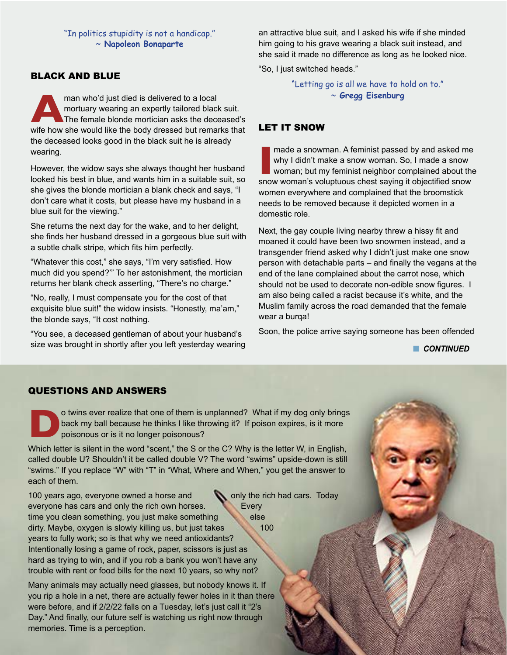"In politics stupidity is not a handicap." ~ **Napoleon Bonaparte**

#### BLACK AND BLUE

**AMP man who'd just died is delivered to a local mortuary wearing an expertly tailored black suit.<br>The female blonde mortician asks the deceased's wife how she would like the body dressed but remarks that** mortuary wearing an expertly tailored black suit. The female blonde mortician asks the deceased's the deceased looks good in the black suit he is already wearing.

However, the widow says she always thought her husband looked his best in blue, and wants him in a suitable suit, so she gives the blonde mortician a blank check and says, "I don't care what it costs, but please have my husband in a blue suit for the viewing."

She returns the next day for the wake, and to her delight, she finds her husband dressed in a gorgeous blue suit with a subtle chalk stripe, which fits him perfectly.

"Whatever this cost," she says, "I'm very satisfied. How much did you spend?'" To her astonishment, the mortician returns her blank check asserting, "There's no charge."

"No, really, I must compensate you for the cost of that exquisite blue suit!" the widow insists. "Honestly, ma'am," the blonde says, "It cost nothing.

"You see, a deceased gentleman of about your husband's size was brought in shortly after you left yesterday wearing an attractive blue suit, and I asked his wife if she minded him going to his grave wearing a black suit instead, and she said it made no difference as long as he looked nice.

"So, I just switched heads."

"Letting go is all we have to hold on to." ~ **Gregg Eisenburg**

#### LET IT SNOW

II made a snowman. A feminist passed by and asked me why I didn't make a snow woman. So, I made a snow woman; but my feminist neighbor complained about the snow woman's voluptuous chest saying it objectified snow made a snowman. A feminist passed by and asked me why I didn't make a snow woman. So, I made a snow woman; but my feminist neighbor complained about the women everywhere and complained that the broomstick needs to be removed because it depicted women in a domestic role.

Next, the gay couple living nearby threw a hissy fit and moaned it could have been two snowmen instead, and a transgender friend asked why I didn't just make one snow person with detachable parts – and finally the vegans at the end of the lane complained about the carrot nose, which should not be used to decorate non-edible snow figures. I am also being called a racist because it's white, and the Muslim family across the road demanded that the female wear a burqa!

Soon, the police arrive saying someone has been offended

**n** CONTINUED

**GAS STATIONS OF THE CROSS Seek and you shall refuel.**

#### QUESTIONS AND ANSWERS

**Do twins ever realize that one of them is unplanned? What if my dog only brings<br>back my ball because he thinks I like throwing it? If poison expires, is it more<br>poisonous or is it no longer poisonous?<br>Which latter is eith** back my ball because he thinks I like throwing it? If poison expires, is it more poisonous or is it no longer poisonous?

Which letter is silent in the word "scent," the S or the C? Why is the letter W, in English, called double U? Shouldn't it be called double V? The word "swims" upside-down is still "swims." If you replace "W" with "T" in "What, Where and When," you get the answer to each of them.

100 years ago, everyone owned a horse and **the rich had cars.** Today everyone has cars and only the rich own horses. Every time you clean something, you just make something dirty. Maybe, oxygen is slowly killing us, but just takes 100 years to fully work; so is that why we need antioxidants? Intentionally losing a game of rock, paper, scissors is just as hard as trying to win, and if you rob a bank you won't have any trouble with rent or food bills for the next 10 years, so why not?

Many animals may actually need glasses, but nobody knows it. If you rip a hole in a net, there are actually fewer holes in it than there were before, and if 2/2/22 falls on a Tuesday, let's just call it "2's Day." And finally, our future self is watching us right now through memories. Time is a perception.